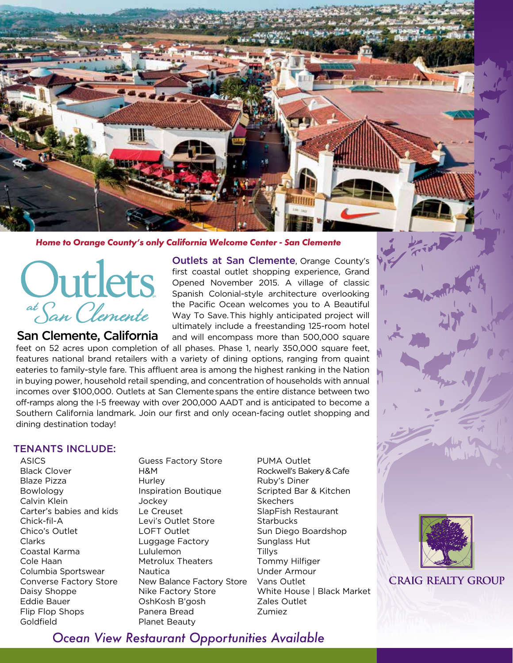

## *Home to Orange County's only California Welcome Center - San Clemente*



# San Clemente, California

Outlets at San Clemente, Orange County's first coastal outlet shopping experience, Grand Opened November 2015. A village of classic Spanish Colonial-style architecture overlooking the Pacific Ocean welcomes you to A Beautiful Way To Save. This highly anticipated project will ultimately include a freestanding 125-room hotel and will encompass more than 500,000 square

feet on 52 acres upon completion of all phases. Phase 1, nearly 350,000 square feet, features national brand retailers with a variety of dining options, ranging from quaint eateries to family-style fare. This affluent area is among the highest ranking in the Nation in buying power, household retail spending, and concentration of households with annual incomes over \$100,000. Outlets at San Clementespans the entire distance between two off-ramps along the I-5 freeway with over 200,000 AADT and is anticipated to become a Southern California landmark. Join our first and only ocean-facing outlet shopping and dining destination today!

# TENANTS INCLUDE:

**ASICS** Black Clover Blaze Pizza Bowlology Calvin Klein Carter's babies and kids Chick-fil-A Chico's Outlet Clarks Coastal Karma Cole Haan Columbia Sportswear Converse Factory Store Daisy Shoppe Eddie Bauer Flip Flop Shops Goldfield

Guess Factory Store H&M **Hurley** Inspiration Boutique **Jockey** Le Creuset Levi's Outlet Store LOFT Outlet Luggage Factory Lululemon Metrolux Theaters **Nautica** New Balance Factory Store Nike Factory Store OshKosh B'gosh Panera Bread Planet Beauty

PUMA Outlet Rockwell's Bakery&Cafe Ruby's Diner Scripted Bar & Kitchen **Skechers** SlapFish Restaurant **Starbucks** Sun Diego Boardshop Sunglass Hut Tillys Tommy Hilfiger Under Armour Vans Outlet White House | Black Market Zales Outlet Zumiez



**CRAIG REALTY GROUP** 

*Ocean View Restaurant Opportunities Available*